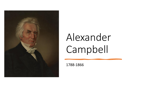

# Alexander Campbell

1788-1866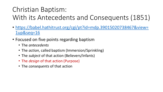- [https://babel.hathitrust.org/cgi/pt?id=mdp.39015020738467&view=](https://babel.hathitrust.org/cgi/pt?id=mdp.39015020738467&view=1up&seq=16) 1up&seq=16
- Focused on five points regarding baptism
	- The *antecedents*
	- The *action*, called baptism (Immersion/Sprinkling)
	- The *subject* of that action (Believers/Infants)
	- The *design* of that action (Purpose)
	- The *consequents* of that action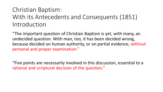"The important question of Christian Baptism is yet, with many, an undecided question. With man, too, it has been decided wrong, because decided on human authority, or on partial evidence, without personal and proper examination."

"Five points are necessarily involved in this discussion, essential to a rational and scriptural decision of the question."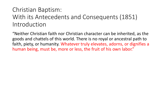"Neither Christian faith nor Christian character can be inherited, as the goods and chattels of this world. There is no royal or ancestral path to faith, piety, or humanity. Whatever truly elevates, adorns, or dignifies a human being, must be, more or less, the fruit of his own labor."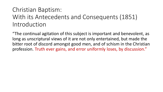"The continual agitation of this subject is important and benevolent, as long as unscriptural views of it are not only entertained, but made the bitter root of discord amongst good men, and of schism in the Christian profession. Truth ever gains, and error uniformly loses, by discussion."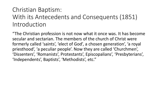"The Christian profession is not now what it once was. It has become secular and sectarian. The members of the church of Christ were formerly called 'saints', 'elect of God', a chosen generation', 'a royal priesthood', 'a peculiar people'. Now they are called 'Churchmen', 'Dissenters', 'Romanists', Protestants', Episcopalians', 'Presbyterians', 'Independents', Baptists', 'Methodists', etc."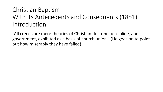"All creeds are mere theories of Christian doctrine, discipline, and government, exhibited as a basis of church union." (He goes on to point out how miserably they have failed)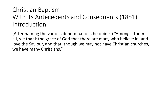(After naming the various denominations he opines) "Amongst them all, we thank the grace of God that there are many who believe in, and love the Saviour, and that, though we may not have Christian churches, we have many Christians."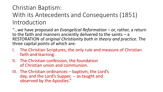#### Christian Baptism:

#### With its Antecedents and Consequents (1851) Introduction

"...we have proposed an *Evangelical Reformation* – or, rather, a return to the faith and manners anciently delivered to the saints – a RESTORATION of *original Christianity both in theory and practice.* The three capital points of which are:

- I. The Christian Scriptures, the only rule and measure of Christian faith and learning.
- II. The Christian confession, the foundation of Christian union and communion.
- III. The Christian ordinances baptism, the Lord's day, and the Lord's Supper, -- as taught and observed by the Apostles."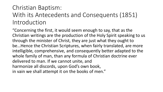"Concerning the first, it would seem enough to say, that as the Christian writings are the production of the Holy Spirit speaking to us through the minister of Christ, they are just what they ought to be…Hence the Christian Scriptures, when fairly translated, are more intelligible, comprehensive, and consequently better adapted to the whole family of man, than any formula of Christian doctrine ever delivered to man. If we cannot unite, and harmonize all discords, upon God's own book, in vain we shall attempt it on the books of men."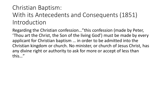Regarding the Christian confession…"this confession (made by Peter, 'Thou art the Christ, the Son of the living God') must be made by every applicant for Christian baptism … in order to be admitted into the Christian kingdom or church. No minister, or church of Jesus Christ, has any divine right or authority to ask for more or accept of less than this…"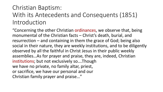"Concerning the other Christian ordinances, we observe that, being monumental of the Christian facts – Christ's death, burial, and resurrection – and containing in them the grace of God; being also social in their nature, they are weekly institutions, and to be diligently observed by all the faithful in Christ Jesus in their public weekly assemblies…As for prayer and praise, they are, indeed, Christian institutions; but not exclusively so….Though we have no private, no family altar, priest, or sacrifice, we have our personal and our Christian family prayer and praise…"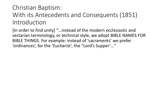[In order to find unity] "…instead of the modern ecclesiastic and sectarian terminology, or technical style, we adopt BIBLE NAMES FOR BIBLE THINGS. For example: instead of 'sacraments' we prefer 'ordinances', for the 'Eucharist', the "Lord's Supper'…"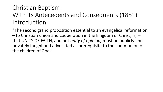"The second grand proposition essential to an evangelical reformation – to Christian union and cooperation in the kingdom of Christ, is, - that UNITY OF FAITH, and not *unity of opinion,* must be publicly and privately taught and advocated as prerequisite to the communion of the children of God."